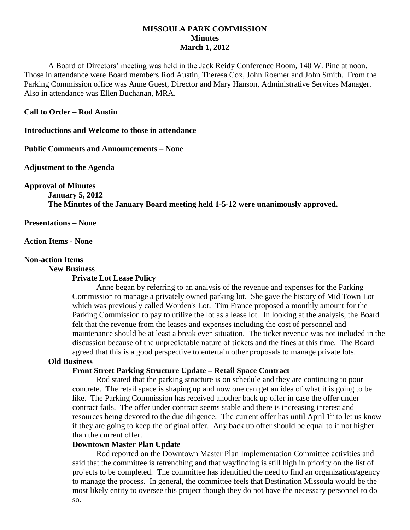## **MISSOULA PARK COMMISSION Minutes March 1, 2012**

A Board of Directors' meeting was held in the Jack Reidy Conference Room, 140 W. Pine at noon. Those in attendance were Board members Rod Austin, Theresa Cox, John Roemer and John Smith. From the Parking Commission office was Anne Guest, Director and Mary Hanson, Administrative Services Manager. Also in attendance was Ellen Buchanan, MRA.

#### **Call to Order – Rod Austin**

**Introductions and Welcome to those in attendance**

**Public Comments and Announcements – None**

**Adjustment to the Agenda**

**Approval of Minutes**

**January 5, 2012 The Minutes of the January Board meeting held 1-5-12 were unanimously approved.**

**Presentations – None**

**Action Items - None**

### **Non-action Items**

**New Business**

### **Private Lot Lease Policy**

Anne began by referring to an analysis of the revenue and expenses for the Parking Commission to manage a privately owned parking lot. She gave the history of Mid Town Lot which was previously called Worden's Lot. Tim France proposed a monthly amount for the Parking Commission to pay to utilize the lot as a lease lot. In looking at the analysis, the Board felt that the revenue from the leases and expenses including the cost of personnel and maintenance should be at least a break even situation. The ticket revenue was not included in the discussion because of the unpredictable nature of tickets and the fines at this time. The Board agreed that this is a good perspective to entertain other proposals to manage private lots.

# **Old Business**

### **Front Street Parking Structure Update – Retail Space Contract**

Rod stated that the parking structure is on schedule and they are continuing to pour concrete. The retail space is shaping up and now one can get an idea of what it is going to be like. The Parking Commission has received another back up offer in case the offer under contract fails. The offer under contract seems stable and there is increasing interest and resources being devoted to the due diligence. The current offer has until April  $1<sup>st</sup>$  to let us know if they are going to keep the original offer. Any back up offer should be equal to if not higher than the current offer.

### **Downtown Master Plan Update**

Rod reported on the Downtown Master Plan Implementation Committee activities and said that the committee is retrenching and that wayfinding is still high in priority on the list of projects to be completed. The committee has identified the need to find an organization/agency to manage the process. In general, the committee feels that Destination Missoula would be the most likely entity to oversee this project though they do not have the necessary personnel to do so.